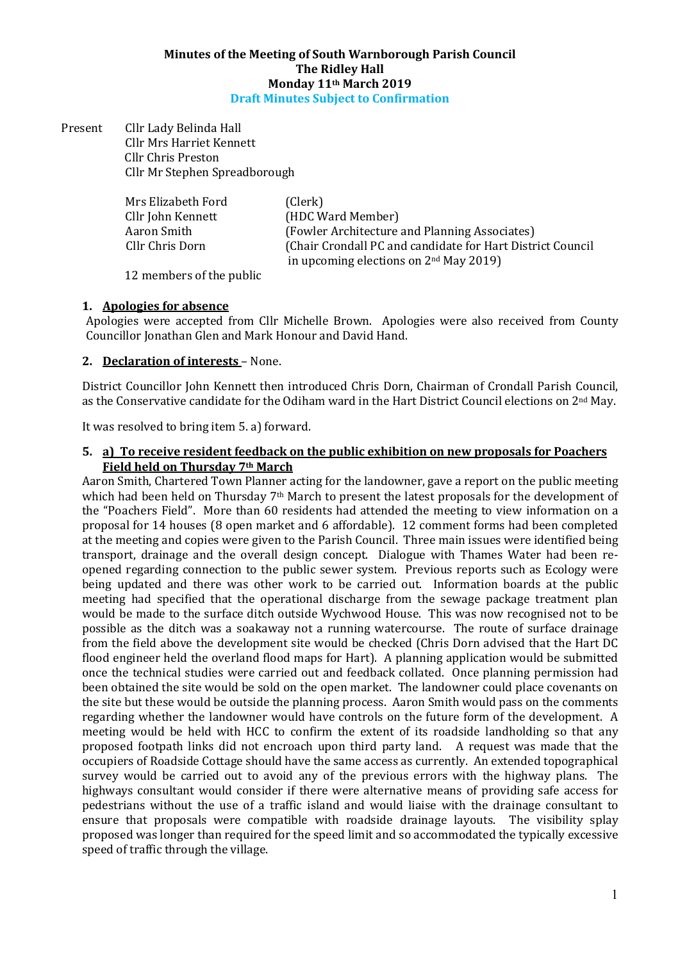#### Minutes of the Meeting of South Warnborough Parish Council The Ridley Hall Monday 11th March 2019 Draft Minutes Subject to Confirmation

Present Cllr Lady Belinda Hall Cllr Mrs Harriet Kennett Cllr Chris Preston Cllr Mr Stephen Spreadborough

| Mrs Elizabeth Ford | (Clerk)                                                    |
|--------------------|------------------------------------------------------------|
| Cllr John Kennett  | (HDC Ward Member)                                          |
| Aaron Smith        | (Fowler Architecture and Planning Associates)              |
| Cllr Chris Dorn    | (Chair Crondall PC and candidate for Hart District Council |
|                    | in upcoming elections on $2nd$ May 2019)                   |

12 members of the public

### 1. Apologies for absence

Apologies were accepted from Cllr Michelle Brown. Apologies were also received from County Councillor Jonathan Glen and Mark Honour and David Hand.

### 2. Declaration of interests – None.

District Councillor John Kennett then introduced Chris Dorn, Chairman of Crondall Parish Council, as the Conservative candidate for the Odiham ward in the Hart District Council elections on 2nd May.

It was resolved to bring item 5. a) forward.

#### 5. a) To receive resident feedback on the public exhibition on new proposals for Poachers Field held on Thursday 7th March

Aaron Smith, Chartered Town Planner acting for the landowner, gave a report on the public meeting which had been held on Thursday 7<sup>th</sup> March to present the latest proposals for the development of the "Poachers Field". More than 60 residents had attended the meeting to view information on a proposal for 14 houses (8 open market and 6 affordable). 12 comment forms had been completed at the meeting and copies were given to the Parish Council. Three main issues were identified being transport, drainage and the overall design concept. Dialogue with Thames Water had been reopened regarding connection to the public sewer system. Previous reports such as Ecology were being updated and there was other work to be carried out. Information boards at the public meeting had specified that the operational discharge from the sewage package treatment plan would be made to the surface ditch outside Wychwood House. This was now recognised not to be possible as the ditch was a soakaway not a running watercourse. The route of surface drainage from the field above the development site would be checked (Chris Dorn advised that the Hart DC flood engineer held the overland flood maps for Hart). A planning application would be submitted once the technical studies were carried out and feedback collated. Once planning permission had been obtained the site would be sold on the open market. The landowner could place covenants on the site but these would be outside the planning process. Aaron Smith would pass on the comments regarding whether the landowner would have controls on the future form of the development. A meeting would be held with HCC to confirm the extent of its roadside landholding so that any proposed footpath links did not encroach upon third party land. A request was made that the occupiers of Roadside Cottage should have the same access as currently. An extended topographical survey would be carried out to avoid any of the previous errors with the highway plans. The highways consultant would consider if there were alternative means of providing safe access for pedestrians without the use of a traffic island and would liaise with the drainage consultant to ensure that proposals were compatible with roadside drainage layouts. The visibility splay proposed was longer than required for the speed limit and so accommodated the typically excessive speed of traffic through the village.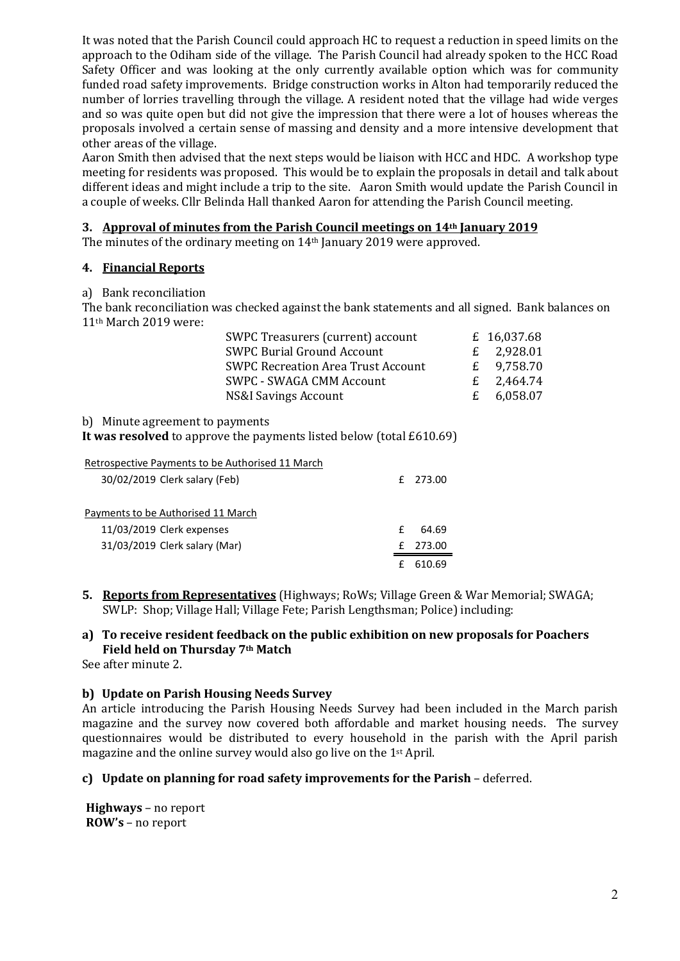It was noted that the Parish Council could approach HC to request a reduction in speed limits on the approach to the Odiham side of the village. The Parish Council had already spoken to the HCC Road Safety Officer and was looking at the only currently available option which was for community funded road safety improvements. Bridge construction works in Alton had temporarily reduced the number of lorries travelling through the village. A resident noted that the village had wide verges and so was quite open but did not give the impression that there were a lot of houses whereas the proposals involved a certain sense of massing and density and a more intensive development that other areas of the village.

Aaron Smith then advised that the next steps would be liaison with HCC and HDC. A workshop type meeting for residents was proposed. This would be to explain the proposals in detail and talk about different ideas and might include a trip to the site. Aaron Smith would update the Parish Council in a couple of weeks. Cllr Belinda Hall thanked Aaron for attending the Parish Council meeting.

### 3. Approval of minutes from the Parish Council meetings on 14th January 2019

The minutes of the ordinary meeting on 14th January 2019 were approved.

### 4. Financial Reports

a) Bank reconciliation

The bank reconciliation was checked against the bank statements and all signed. Bank balances on 11th March 2019 were:

| SWPC Treasurers (current) account         |             | £ 16,037.68  |
|-------------------------------------------|-------------|--------------|
| <b>SWPC Burial Ground Account</b>         |             | £ $2,928.01$ |
| <b>SWPC Recreation Area Trust Account</b> | $f_{\cdot}$ | 9,758.70     |
| SWPC - SWAGA CMM Account                  |             | £ $2,464.74$ |
| NS&I Savings Account                      |             | £ $6,058.07$ |

### b) Minute agreement to payments

It was resolved to approve the payments listed below (total £610.69)

| Retrospective Payments to be Authorised 11 March |   |          |
|--------------------------------------------------|---|----------|
| 30/02/2019 Clerk salary (Feb)                    |   | f 273.00 |
|                                                  |   |          |
| Payments to be Authorised 11 March               |   |          |
| 11/03/2019 Clerk expenses                        | f | 64.69    |
| 31/03/2019 Clerk salary (Mar)                    |   | 273.00   |
|                                                  |   | 610.69   |

5. Reports from Representatives (Highways; RoWs; Village Green & War Memorial; SWAGA; SWLP: Shop; Village Hall; Village Fete; Parish Lengthsman; Police) including:

## a) To receive resident feedback on the public exhibition on new proposals for Poachers Field held on Thursday 7th Match

See after minute 2.

### b) Update on Parish Housing Needs Survey

An article introducing the Parish Housing Needs Survey had been included in the March parish magazine and the survey now covered both affordable and market housing needs. The survey questionnaires would be distributed to every household in the parish with the April parish magazine and the online survey would also go live on the 1st April.

### c) Update on planning for road safety improvements for the Parish – deferred.

Highways – no report ROW's – no report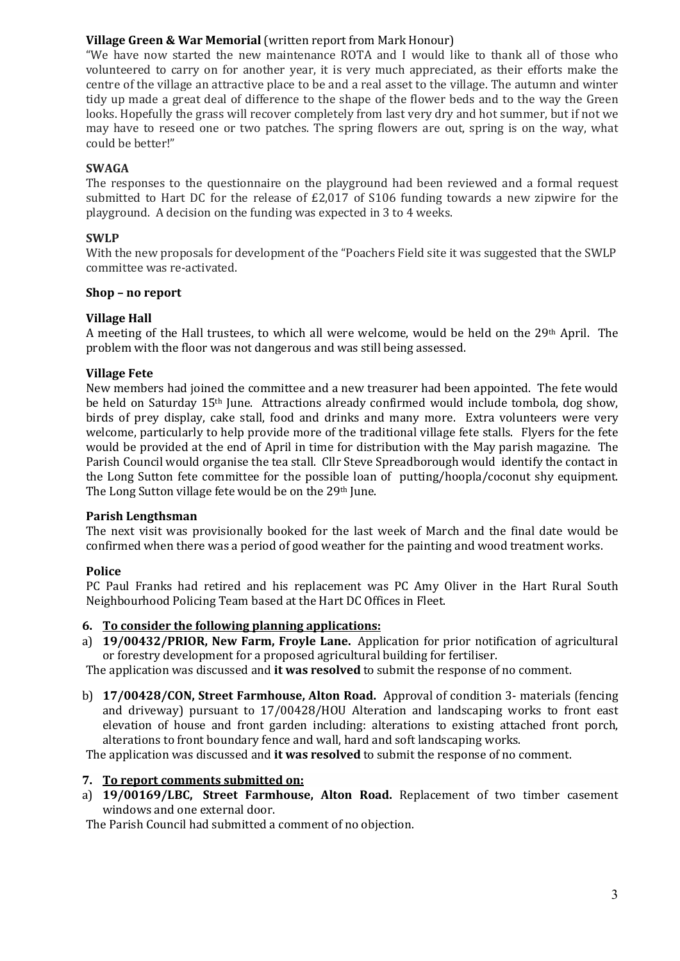## Village Green & War Memorial (written report from Mark Honour)

"We have now started the new maintenance ROTA and I would like to thank all of those who volunteered to carry on for another year, it is very much appreciated, as their efforts make the centre of the village an attractive place to be and a real asset to the village. The autumn and winter tidy up made a great deal of difference to the shape of the flower beds and to the way the Green looks. Hopefully the grass will recover completely from last very dry and hot summer, but if not we may have to reseed one or two patches. The spring flowers are out, spring is on the way, what could be better!"

## SWAGA

The responses to the questionnaire on the playground had been reviewed and a formal request submitted to Hart DC for the release of £2,017 of S106 funding towards a new zipwire for the playground. A decision on the funding was expected in 3 to 4 weeks.

## SWLP

With the new proposals for development of the "Poachers Field site it was suggested that the SWLP committee was re-activated.

### Shop – no report

## Village Hall

A meeting of the Hall trustees, to which all were welcome, would be held on the 29th April. The problem with the floor was not dangerous and was still being assessed.

## Village Fete

New members had joined the committee and a new treasurer had been appointed. The fete would be held on Saturday 15th June. Attractions already confirmed would include tombola, dog show, birds of prey display, cake stall, food and drinks and many more. Extra volunteers were very welcome, particularly to help provide more of the traditional village fete stalls. Flyers for the fete would be provided at the end of April in time for distribution with the May parish magazine. The Parish Council would organise the tea stall. Cllr Steve Spreadborough would identify the contact in the Long Sutton fete committee for the possible loan of putting/hoopla/coconut shy equipment. The Long Sutton village fete would be on the 29th June.

### Parish Lengthsman

The next visit was provisionally booked for the last week of March and the final date would be confirmed when there was a period of good weather for the painting and wood treatment works.

## Police

PC Paul Franks had retired and his replacement was PC Amy Oliver in the Hart Rural South Neighbourhood Policing Team based at the Hart DC Offices in Fleet.

### 6. To consider the following planning applications:

a) 19/00432/PRIOR, New Farm, Froyle Lane. Application for prior notification of agricultural or forestry development for a proposed agricultural building for fertiliser.

The application was discussed and it was resolved to submit the response of no comment.

b) 17/00428/CON, Street Farmhouse, Alton Road. Approval of condition 3- materials (fencing and driveway) pursuant to 17/00428/HOU Alteration and landscaping works to front east elevation of house and front garden including: alterations to existing attached front porch, alterations to front boundary fence and wall, hard and soft landscaping works.

The application was discussed and it was resolved to submit the response of no comment.

### 7. To report comments submitted on:

a) 19/00169/LBC, Street Farmhouse, Alton Road. Replacement of two timber casement windows and one external door.

The Parish Council had submitted a comment of no objection.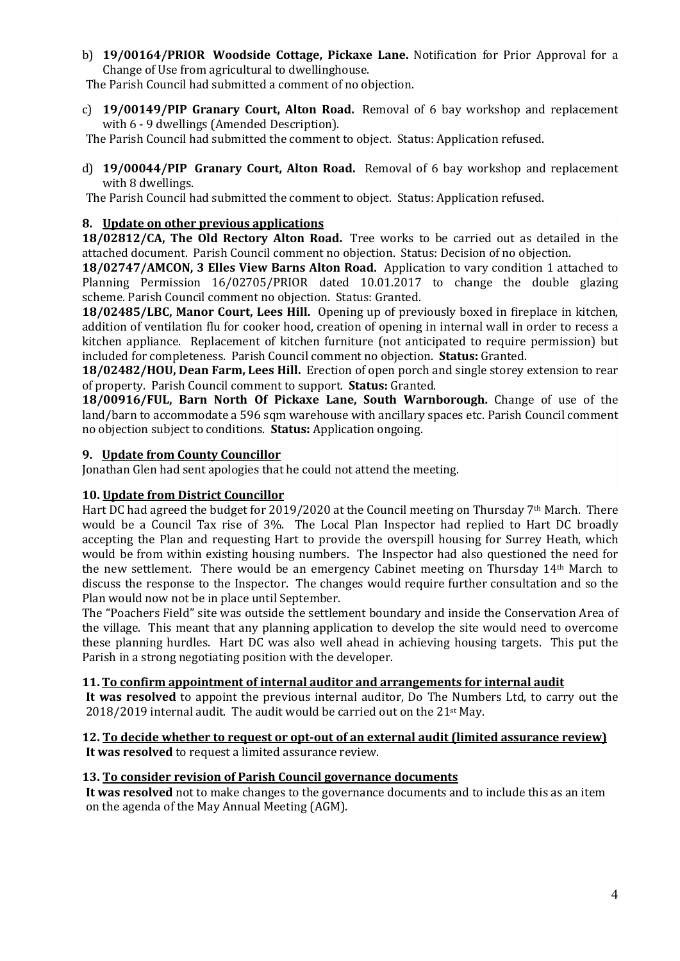b) 19/00164/PRIOR Woodside Cottage, Pickaxe Lane. Notification for Prior Approval for a Change of Use from agricultural to dwellinghouse.

The Parish Council had submitted a comment of no objection.

c) 19/00149/PIP Granary Court, Alton Road. Removal of 6 bay workshop and replacement with 6 - 9 dwellings (Amended Description).

The Parish Council had submitted the comment to object. Status: Application refused.

d) 19/00044/PIP Granary Court, Alton Road. Removal of 6 bay workshop and replacement with 8 dwellings.

The Parish Council had submitted the comment to object. Status: Application refused.

## 8. Update on other previous applications

18/02812/CA, The Old Rectory Alton Road. Tree works to be carried out as detailed in the attached document. Parish Council comment no objection. Status: Decision of no objection.

18/02747/AMCON, 3 Elles View Barns Alton Road. Application to vary condition 1 attached to Planning Permission 16/02705/PRIOR dated 10.01.2017 to change the double glazing scheme. Parish Council comment no objection. Status: Granted.

18/02485/LBC, Manor Court, Lees Hill. Opening up of previously boxed in fireplace in kitchen, addition of ventilation flu for cooker hood, creation of opening in internal wall in order to recess a kitchen appliance. Replacement of kitchen furniture (not anticipated to require permission) but included for completeness. Parish Council comment no objection. Status: Granted.

18/02482/HOU, Dean Farm, Lees Hill. Erection of open porch and single storey extension to rear of property. Parish Council comment to support. Status: Granted.

18/00916/FUL, Barn North Of Pickaxe Lane, South Warnborough. Change of use of the land/barn to accommodate a 596 sqm warehouse with ancillary spaces etc. Parish Council comment no objection subject to conditions. Status: Application ongoing.

### 9. Update from County Councillor

Jonathan Glen had sent apologies that he could not attend the meeting.

### 10. Update from District Councillor

Hart DC had agreed the budget for 2019/2020 at the Council meeting on Thursday 7<sup>th</sup> March. There would be a Council Tax rise of 3%. The Local Plan Inspector had replied to Hart DC broadly accepting the Plan and requesting Hart to provide the overspill housing for Surrey Heath, which would be from within existing housing numbers. The Inspector had also questioned the need for the new settlement. There would be an emergency Cabinet meeting on Thursday 14th March to discuss the response to the Inspector. The changes would require further consultation and so the Plan would now not be in place until September.

The "Poachers Field" site was outside the settlement boundary and inside the Conservation Area of the village. This meant that any planning application to develop the site would need to overcome these planning hurdles. Hart DC was also well ahead in achieving housing targets. This put the Parish in a strong negotiating position with the developer.

### 11. To confirm appointment of internal auditor and arrangements for internal audit

It was resolved to appoint the previous internal auditor, Do The Numbers Ltd, to carry out the  $2018/2019$  internal audit. The audit would be carried out on the  $21<sup>st</sup>$  May.

### 12. To decide whether to request or opt-out of an external audit (limited assurance review)

It was resolved to request a limited assurance review.

### 13. To consider revision of Parish Council governance documents

It was resolved not to make changes to the governance documents and to include this as an item on the agenda of the May Annual Meeting (AGM).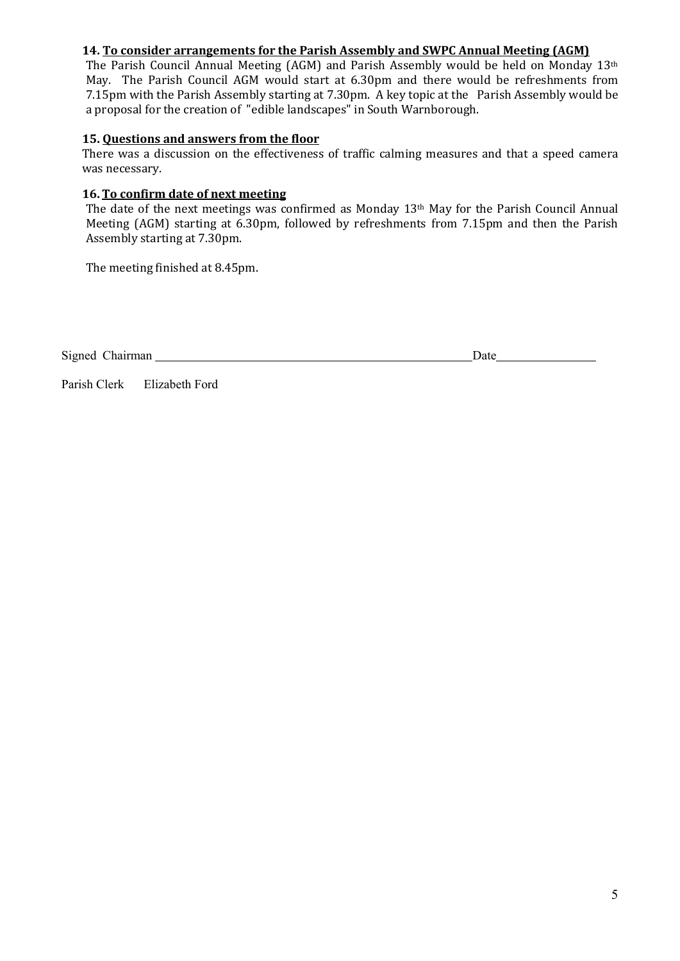## 14. To consider arrangements for the Parish Assembly and SWPC Annual Meeting (AGM)

The Parish Council Annual Meeting (AGM) and Parish Assembly would be held on Monday 13th May. The Parish Council AGM would start at 6.30pm and there would be refreshments from 7.15pm with the Parish Assembly starting at 7.30pm. A key topic at the Parish Assembly would be a proposal for the creation of "edible landscapes" in South Warnborough.

### 15. Questions and answers from the floor

There was a discussion on the effectiveness of traffic calming measures and that a speed camera was necessary.

# 16. To confirm date of next meeting

The date of the next meetings was confirmed as Monday 13th May for the Parish Council Annual Meeting (AGM) starting at 6.30pm, followed by refreshments from 7.15pm and then the Parish Assembly starting at 7.30pm.

The meeting finished at 8.45pm.

Signed Chairman Date

Parish Clerk Elizabeth Ford